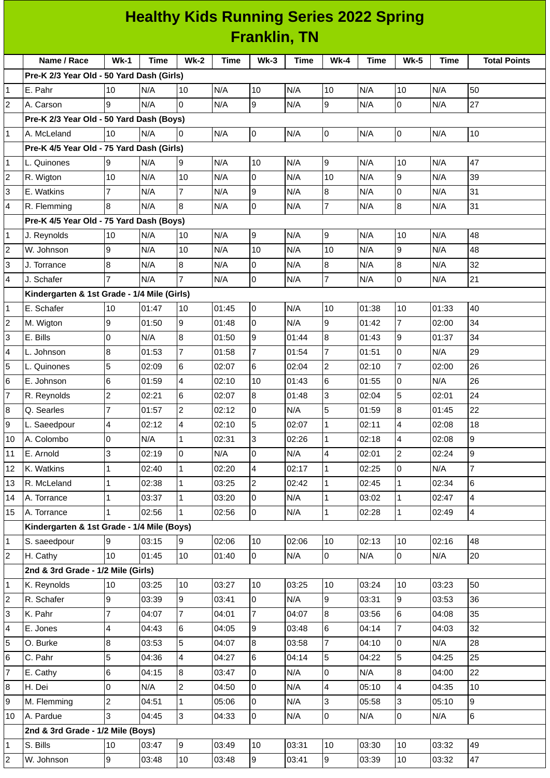## **Healthy Kids Running Series 2022 Spring Franklin, TN**

|                | Name / Race                                                                        | Wk-1           | Time           | Wk-2                    | <b>Time</b>    | $Wk-3$              | Time           | <b>Wk-4</b>    | Time           | <b>Wk-5</b>         | Time           | <b>Total Points</b> |
|----------------|------------------------------------------------------------------------------------|----------------|----------------|-------------------------|----------------|---------------------|----------------|----------------|----------------|---------------------|----------------|---------------------|
|                | Pre-K 2/3 Year Old - 50 Yard Dash (Girls)                                          |                |                |                         |                |                     |                |                |                |                     |                |                     |
| 1              | E. Pahr                                                                            | 10             | N/A            | 10                      | N/A            | 10                  | N/A            | 10             | N/A            | 10                  | N/A            | 50                  |
| $\overline{c}$ | A. Carson                                                                          | 9              | N/A            | l0                      | N/A            | 9                   | N/A            | 9              | N/A            | 0                   | N/A            | 27                  |
|                | Pre-K 2/3 Year Old - 50 Yard Dash (Boys)                                           |                |                |                         |                |                     |                |                |                |                     |                | 10                  |
| 1              | A. McLeland                                                                        | 10             | N/A            | 0                       | N/A            | O                   | N/A            | 0              | N/A            | $\pmb{0}$           | N/A            |                     |
|                | Pre-K 4/5 Year Old - 75 Yard Dash (Girls)                                          | 9              |                | $\overline{9}$          | N/A            | 10                  | N/A            | 9              | N/A            | 10                  | N/A            | 47                  |
| 1<br>2         | L. Quinones<br>R. Wigton                                                           | 10             | N/A<br>N/A     | 10                      | N/A            | O                   | N/A            | 10             | N/A            | 9                   | N/A            | 39                  |
| 3              | E. Watkins                                                                         | 7              | N/A            | $\overline{7}$          | N/A            | 9                   | N/A            | $\, 8$         | N/A            | 0                   | N/A            | 31                  |
| 4              |                                                                                    | 8              | N/A            | 8                       | N/A            | $\overline{0}$      | N/A            | $\overline{7}$ | N/A            | 8                   | N/A            | 31                  |
|                | R. Flemming                                                                        |                |                |                         |                |                     |                |                |                |                     |                |                     |
|                | Pre-K 4/5 Year Old - 75 Yard Dash (Boys)                                           | 10             | N/A            |                         | N/A            | 9                   | N/A            | 9              |                | 10                  | N/A            | 48                  |
| 1              | J. Reynolds<br>W. Johnson                                                          | 9              | N/A            | 10<br>10                | N/A            | 10                  | N/A            | 10             | N/A<br>N/A     | 9                   | N/A            | 48                  |
| 2              |                                                                                    |                |                |                         |                |                     | N/A            |                | N/A            |                     |                | 32                  |
| 3              | J. Torrance                                                                        | 8              | N/A            | 8<br>$\overline{7}$     | N/A            | 0<br>$\overline{0}$ |                | $\, 8$         |                | 8                   | N/A            |                     |
| 4              | J. Schafer                                                                         |                | N/A            |                         | N/A            |                     | N/A            | $\overline{7}$ | N/A            | 0                   | N/A            | 21                  |
|                | Kindergarten & 1st Grade - 1/4 Mile (Girls)<br>E. Schafer                          | 10             | 01:47          | 10                      | 01:45          |                     | N/A            | 10             | 01:38          | 10                  | 01:33          | 40                  |
| 1<br>2         |                                                                                    | 9              | 01:50          | $\overline{9}$          |                | O<br>O              | N/A            | 9              |                | $\overline{7}$      |                | 34                  |
| 3              | M. Wigton<br>E. Bills                                                              |                | N/A            | 8                       | 01:48<br>01:50 | 9                   | 01:44          | $\overline{8}$ | 01:42          | 9                   | 02:00<br>01:37 | 34                  |
|                |                                                                                    | 0              |                | $\overline{7}$          |                | $\overline{7}$      |                | $\overline{7}$ | 01:43          |                     | N/A            | 29                  |
| 4<br>5         | L. Johnson                                                                         | 8<br>5         | 01:53          | 6                       | 01:58          | $6\overline{6}$     | 01:54<br>02:04 | $\overline{c}$ | 01:51<br>02:10 | 0<br>$\overline{7}$ | 02:00          | 26                  |
| 6              | L. Quinones<br>E. Johnson                                                          |                | 02:09<br>01:59 | $\overline{\mathbf{4}}$ | 02:07<br>02:10 | 10                  | 01:43          |                | 01:55          | 0                   | N/A            | 26                  |
| 7              |                                                                                    | 6              |                | $6\phantom{.}$          |                | 8                   |                | 6<br>3         |                | 5                   |                | 24                  |
| 8              | R. Reynolds<br>Q. Searles                                                          | 2<br>7         | 02:21<br>01:57 | $\overline{c}$          | 02:07<br>02:12 | $\overline{0}$      | 01:48<br>N/A   | 5              | 02:04<br>01:59 | $\bf{8}$            | 02:01<br>01:45 | 22                  |
| 9              | L. Saeedpour                                                                       | $\overline{4}$ | 02:12          | $\overline{\mathbf{4}}$ | 02:10          | 5                   | 02:07          | $\mathbf 1$    | 02:11          | 4                   | 02:08          | 18                  |
| 10             | A. Colombo                                                                         | 0              | N/A            | $\mathbf{1}$            | 02:31          | 3                   | 02:26          | $\mathbf{1}$   | 02:18          | 4                   | 02:08          | 9                   |
| 11             | E. Arnold                                                                          | 3              | 02:19          | $\mathsf{O}$            | N/A            | O                   | N/A            | 4              | 02:01          | $\overline{c}$      | 02:24          | 9                   |
| 12             | K. Watkins                                                                         | $\mathbf{1}$   | 02:40          | $\mathbf{1}$            | 02:20          | $\overline{4}$      | 02:17          | $\mathbf{1}$   | 02:25          | $\overline{0}$      | N/A            | $\overline{7}$      |
| 13             | R. McLeland                                                                        | 1              | 02:38          | $\mathbf{1}$            | 03:25          | $\overline{c}$      | 02:42          | $\mathbf{1}$   | 02:45          | $\mathbf{1}$        | 02:34          | 6                   |
| 14             | A. Torrance                                                                        | 1              | 03:37          | $\mathbf{1}$            | 03:20          | l0                  | N/A            | $\mathbf{1}$   | 03:02          | $\mathbf{1}$        | 02:47          | 4                   |
| 15             | A. Torrance                                                                        | 1              | 02:56          | $\mathbf{1}$            | 02:56          | $\overline{0}$      | N/A            | $\mathbf 1$    | 02:28          | $\mathbf{1}$        | 02:49          | $\overline{4}$      |
|                | Kindergarten & 1st Grade - 1/4 Mile (Boys)                                         |                |                |                         |                |                     |                |                |                |                     |                |                     |
| 1              | S. saeedpour                                                                       | 9              | 03:15          | $\overline{9}$          | 02:06          | 10                  | 02:06          | 10             | 02:13          | 10                  | 02:16          | 48                  |
| 2              | H. Cathy                                                                           | 10             | 01:45          | 10                      | 01:40          | $\overline{0}$      | N/A            | 0              | N/A            | $\overline{0}$      | N/A            | 20                  |
|                | 2nd & 3rd Grade - 1/2 Mile (Girls)                                                 |                |                |                         |                |                     |                |                |                |                     |                |                     |
| 1              | K. Reynolds                                                                        | 10             | 03:25          | 10                      | 03:27          | 10                  | 03:25          | 10             | 03:24          | 10                  | 03:23          | 50                  |
| 2              | R. Schafer                                                                         | 9              | 03:39          | $\overline{9}$          | 03:41          | $\overline{0}$      | N/A            | $\overline{9}$ | 03:31          | 9                   | 03:53          | 36                  |
| 3              | K. Pahr                                                                            | $\overline{7}$ | 04:07          | $\overline{7}$          | 04:01          | $\overline{7}$      | 04:07          | 8              | 03:56          | 6                   | 04:08          | 35                  |
| 4              | E. Jones                                                                           | 4              | 04:43          | 6                       | 04:05          | 9                   | 03:48          | 6              | 04:14          | 7                   | 04:03          | 32                  |
| 5              | O. Burke                                                                           | $\, 8$         | 03:53          | 5                       | 04:07          | $\bf{8}$            | 03:58          | $\overline{7}$ | 04:10          | 0                   | N/A            | 28                  |
| 6              | C. Pahr                                                                            | 5              | 04:36          | $\overline{\mathbf{4}}$ | 04:27          | 6                   | 04:14          | 5              | 04:22          | 5                   | 04:25          | 25                  |
| 7              | E. Cathy                                                                           | $\,6$          | 04:15          | $\overline{8}$          | 03:47          | l0                  | N/A            | 0              | N/A            | 8                   | 04:00          | 22                  |
| 8              | H. Dei                                                                             | 0              | N/A            | $\overline{c}$          | 04:50          | O                   | N/A            | $\overline{4}$ | 05:10          | 4                   | 04:35          | 10                  |
| 9              | M. Flemming                                                                        | $\overline{c}$ | 04:51          | $\mathbf{1}$            | 05:06          | $\overline{0}$      | N/A            | $\overline{3}$ | 05:58          | 3                   | 05:10          | 9                   |
| 10             | A. Pardue                                                                          | 3              | 04:45          | $\overline{3}$          | 04:33          | $\overline{0}$      | N/A            | $\overline{0}$ | N/A            | 0                   | N/A            | 6                   |
|                | 2nd & 3rd Grade - 1/2 Mile (Boys)                                                  |                |                |                         |                |                     |                |                |                |                     |                |                     |
| 1              | 9<br>S. Bills<br>10<br>03:47<br>03:49<br>10<br>03:31<br>10<br>03:30<br>10<br>03:32 |                |                |                         |                |                     |                |                |                |                     | 49             |                     |
| 2              | W. Johnson                                                                         | 9              | 03:48          | 10                      | 03:48          | 9                   | 03:41          | 9              | 03:39          | 10                  | 03:32          | 47                  |
|                |                                                                                    |                |                |                         |                |                     |                |                |                |                     |                |                     |